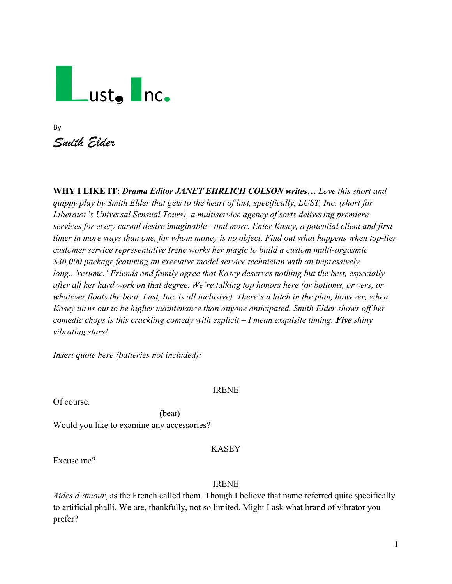# Lust, Inc.

| Bv          |  |
|-------------|--|
| Smith Elder |  |

**WHY I LIKE IT:** *Drama Editor JANET EHRLICH COLSON writes… Love this short and quippy play by Smith Elder that gets to the heart of lust, specifically, LUST, Inc. (short for Liberator's Universal Sensual Tours), a multiservice agency of sorts delivering premiere services for every carnal desire imaginable - and more. Enter Kasey, a potential client and first timer in more ways than one, for whom money is no object. Find out what happens when top-tier customer service representative Irene works her magic to build a custom multi-orgasmic \$30,000 package featuring an executive model service technician with an impressively long...'resume.' Friends and family agree that Kasey deserves nothing but the best, especially after all her hard work on that degree. We're talking top honors here (or bottoms, or vers, or whatever floats the boat. Lust, Inc. is all inclusive). There's a hitch in the plan, however, when Kasey turns out to be higher maintenance than anyone anticipated. Smith Elder shows off her comedic chops is this crackling comedy with explicit – I mean exquisite timing. Five shiny vibrating stars!*

*Insert quote here (batteries not included):*

IRENE

Of course.

(beat) Would you like to examine any accessories?

# KASEY

Excuse me?

# IRENE

*Aides d'amour*, as the French called them. Though I believe that name referred quite specifically to artificial phalli. We are, thankfully, not so limited. Might I ask what brand of vibrator you prefer?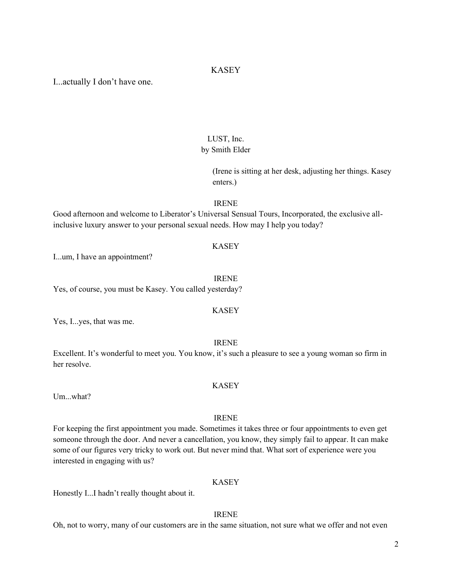### KASEY

I...actually I don't have one.

# LUST, Inc. by Smith Elder

(Irene is sitting at her desk, adjusting her things. Kasey enters.)

#### IRENE

Good afternoon and welcome to Liberator's Universal Sensual Tours, Incorporated, the exclusive allinclusive luxury answer to your personal sexual needs. How may I help you today?

#### KASEY

I...um, I have an appointment?

#### IRENE

Yes, of course, you must be Kasey. You called yesterday?

#### KASEY

Yes, I...yes, that was me.

#### IRENE

Excellent. It's wonderful to meet you. You know, it's such a pleasure to see a young woman so firm in her resolve.

#### KASEY

Um...what?

#### IRENE

For keeping the first appointment you made. Sometimes it takes three or four appointments to even get someone through the door. And never a cancellation, you know, they simply fail to appear. It can make some of our figures very tricky to work out. But never mind that. What sort of experience were you interested in engaging with us?

#### KASEY

Honestly I...I hadn't really thought about it.

#### IRENE

Oh, not to worry, many of our customers are in the same situation, not sure what we offer and not even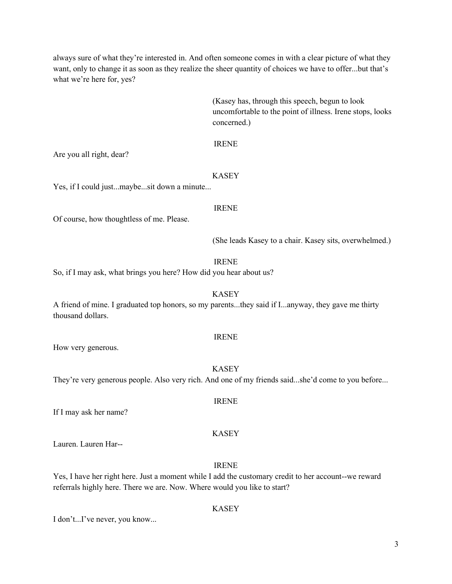always sure of what they're interested in. And often someone comes in with a clear picture of what they want, only to change it as soon as they realize the sheer quantity of choices we have to offer...but that's what we're here for, yes?

> (Kasey has, through this speech, begun to look uncomfortable to the point of illness. Irene stops, looks concerned.)

#### IRENE

Are you all right, dear?

#### KASEY

Yes, if I could just...maybe...sit down a minute...

#### IRENE

Of course, how thoughtless of me. Please.

(She leads Kasey to a chair. Kasey sits, overwhelmed.)

#### IRENE

So, if I may ask, what brings you here? How did you hear about us?

A friend of mine. I graduated top honors, so my parents...they said if I...anyway, they gave me thirty thousand dollars.

#### IRENE

KASEY

IRENE

KASEY

How very generous.

They're very generous people. Also very rich. And one of my friends said...she'd come to you before...

If I may ask her name?

Lauren. Lauren Har--

# IRENE

Yes, I have her right here. Just a moment while I add the customary credit to her account--we reward referrals highly here. There we are. Now. Where would you like to start?

#### KASEY

I don't...I've never, you know...

#### 3

# KASEY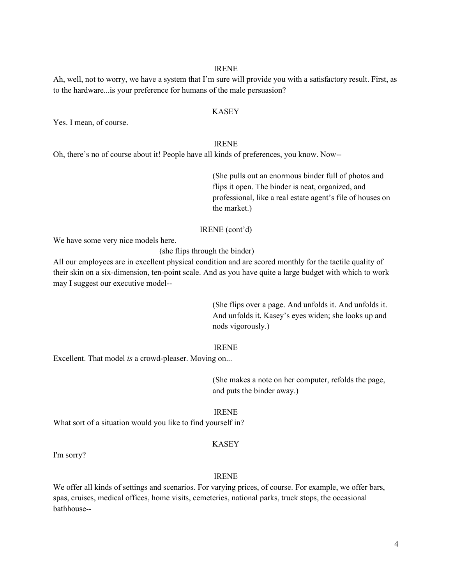#### IRENE

Ah, well, not to worry, we have a system that I'm sure will provide you with a satisfactory result. First, as to the hardware...is your preference for humans of the male persuasion?

#### KASEY

Yes. I mean, of course.

#### IRENE

Oh, there's no of course about it! People have all kinds of preferences, you know. Now--

(She pulls out an enormous binder full of photos and flips it open. The binder is neat, organized, and professional, like a real estate agent's file of houses on the market.)

#### IRENE (cont'd)

We have some very nice models here.

(she flips through the binder)

All our employees are in excellent physical condition and are scored monthly for the tactile quality of their skin on a six-dimension, ten-point scale. And as you have quite a large budget with which to work may I suggest our executive model--

> (She flips over a page. And unfolds it. And unfolds it. And unfolds it. Kasey's eyes widen; she looks up and nods vigorously.)

#### IRENE

Excellent. That model *is* a crowd-pleaser. Moving on...

(She makes a note on her computer, refolds the page, and puts the binder away.)

#### IRENE

What sort of a situation would you like to find yourself in?

#### KASEY

I'm sorry?

#### IRENE

We offer all kinds of settings and scenarios. For varying prices, of course. For example, we offer bars, spas, cruises, medical offices, home visits, cemeteries, national parks, truck stops, the occasional bathhouse--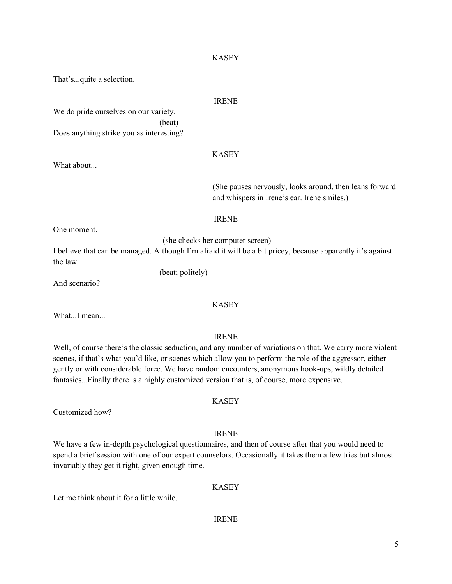#### KASEY

That's...quite a selection.

#### IRENE

We do pride ourselves on our variety. (beat) Does anything strike you as interesting?

#### KASEY

(She pauses nervously, looks around, then leans forward and whispers in Irene's ear. Irene smiles.)

IRENE

One moment.

What about...

(she checks her computer screen)

I believe that can be managed. Although I'm afraid it will be a bit pricey, because apparently it's against the law.

And scenario?

(beat; politely)

### KASEY

What...I mean...

#### IRENE

Well, of course there's the classic seduction, and any number of variations on that. We carry more violent scenes, if that's what you'd like, or scenes which allow you to perform the role of the aggressor, either gently or with considerable force. We have random encounters, anonymous hook-ups, wildly detailed fantasies...Finally there is a highly customized version that is, of course, more expensive.

KASEY

Customized how?

#### IRENE

We have a few in-depth psychological questionnaires, and then of course after that you would need to spend a brief session with one of our expert counselors. Occasionally it takes them a few tries but almost invariably they get it right, given enough time.

#### KASEY

Let me think about it for a little while.

#### IRENE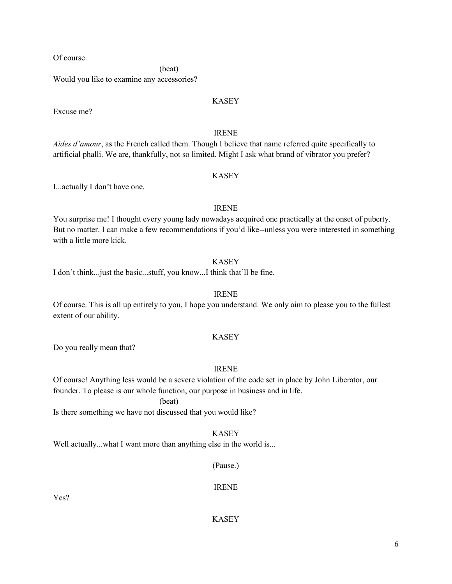Of course.

(beat)

Would you like to examine any accessories?

#### KASEY

Excuse me?

# IRENE

*Aides d'amour*, as the French called them. Though I believe that name referred quite specifically to artificial phalli. We are, thankfully, not so limited. Might I ask what brand of vibrator you prefer?

#### KASEY

I...actually I don't have one.

#### IRENE

You surprise me! I thought every young lady nowadays acquired one practically at the onset of puberty. But no matter. I can make a few recommendations if you'd like--unless you were interested in something with a little more kick.

#### KASEY

I don't think...just the basic...stuff, you know...I think that'll be fine.

#### IRENE

Of course. This is all up entirely to you, I hope you understand. We only aim to please you to the fullest extent of our ability.

#### KASEY

Do you really mean that?

#### IRENE

Of course! Anything less would be a severe violation of the code set in place by John Liberator, our founder. To please is our whole function, our purpose in business and in life.

(beat)

Is there something we have not discussed that you would like?

#### KASEY

Well actually...what I want more than anything else in the world is...

#### (Pause.)

IRENE

Yes?

KASEY